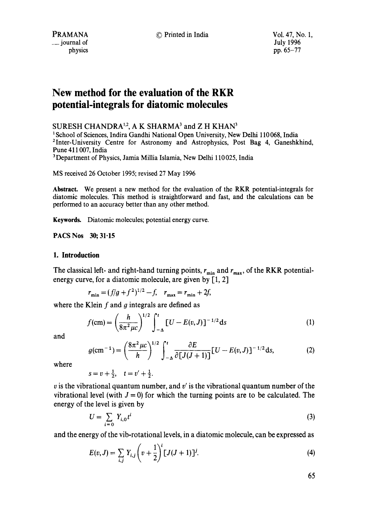*\_\_* journal of

# **New method for the evaluation of the RKR potential-integrals for diatomic molecules**

SURESH CHANDRA<sup>1,2</sup>, A K SHARMA<sup>3</sup> and Z H KHAN<sup>3</sup>

<sup>1</sup> School of Sciences, Indira Gandhi National Open University, New Delhi 110068, India <sup>2</sup>Inter-University Centre for Astronomy and Astrophysics, Post Bag 4, Ganeshkhind, Pune 411007, India

<sup>3</sup>Department of Physics, Jamia Millia Islamia, New Delhi 110025, India

MS received 26 October 1995; revised 27 May 1996

**Abstract.** We present a new method for the evaluation of the RKR potential-integrals for diatomic molecules. This method is straightforward and fast, and the calculations can be performed to an accuracy better than any other method.

Keywords. Diatomic molecules; potential energy curve.

PACS Nos 30; 31.15

#### **1. Introduction**

The classical left- and right-hand turning points,  $r_{\min}$  and  $r_{\max}$ , of the RKR potentialenergy curve, for a diatomic molecule, are given by  $[1, 2]$ 

$$
r_{\min} = (f/g + f^2)^{1/2} - f, \quad r_{\max} = r_{\min} + 2f,
$$

where the Klein  $f$  and  $g$  integrals are defined as

$$
f(\text{cm}) = \left(\frac{h}{8\pi^2 \mu c}\right)^{1/2} \int_{-\Delta}^{t} [U - E(v, J)]^{-1/2} ds \tag{1}
$$

and

$$
g(\text{cm}^{-1}) = \left(\frac{8\pi^2\,\mu\text{C}}{h}\right)^{1/2} \int_{-\Delta}^{t} \frac{\partial E}{\partial \left[J(J+1)\right]} \left[ U - E(v,J) \right]^{-1/2} \text{d}s,\tag{2}
$$

where

$$
s = v + \frac{1}{2}, \quad t = v' + \frac{1}{2}.
$$

v is the vibrational quantum number, and v' is the vibrational quantum number of the vibrational level (with  $J = 0$ ) for which the turning points are to be calculated. The energy of the level is given by

$$
U = \sum_{i=0} Y_{i,0} t^i \tag{3}
$$

and the energy of the vib-rotational levels, in a diatomic molecule, can be expressed as

$$
E(v, J) = \sum_{i,j} Y_{i,j} \left(v + \frac{1}{2}\right)^{i} [J(J+1)]^{j}.
$$
 (4)

65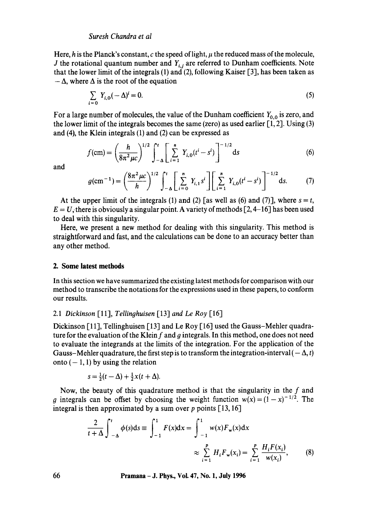#### *Suresh Chandra et al*

Here, h is the Planck's constant, c the speed of light,  $\mu$  the reduced mass of the molecule, J the rotational quantum number and  $Y_{i,j}$  are referred to Dunham coefficients. Note that the lower limit of the integrals (1) and (2), following Kaiser [3], has been taken as  $-\Delta$ , where  $\Delta$  is the root of the equation

$$
\sum_{i=0} Y_{i,0}(-\Delta)^i = 0. \tag{5}
$$

For a large number of molecules, the value of the Dunham coefficient  $Y_{0,0}$  is zero, and the lower limit of the integrals becomes the same (zero) as used earlier  $[1, 2]$ . Using (3) and (4), the Klein integrals (1) and (2) can be expressed as

$$
f(\text{cm}) = \left(\frac{h}{8\pi^2\mu c}\right)^{1/2} \int_{-\Delta}^{t} \left[\sum_{i=1}^{n} Y_{i,0}(t^i - s^i)\right]^{-1/2} \text{d}s \tag{6}
$$

and

$$
g(\text{cm}^{-1}) = \left(\frac{8\pi^2\mu c}{h}\right)^{1/2} \int_{-\Delta}^{t} \left[\sum_{i=0}^{n} Y_{i,1} s^i\right] \left[\sum_{i=1}^{n} Y_{i,0}(t^i - s^i)\right]^{-1/2} \text{d}s. \tag{7}
$$

At the upper limit of the integrals (1) and (2) [as well as (6) and (7)], where  $s = t$ ,  $E = U$ , there is obviously a singular point. A variety of methods [2, 4–16] has been used to deal with this singularity.

Here, we present a new method for dealing with this singularity. This method is straightforward and fast, and the calculations can be done to an accuracy better than any other method.

#### **2. Some latest methods**

In this section we have summarized the existing latest methods for comparison with our method to transcribe the notations for the expressions used in these papers, to conform our results.

## 2.1 *Dickinson* [11], *Tellinghuisen* [13] *and Le Roy* [16]

Dickinson [11], Tellinghuisen [13] and Le Roy [16] used the Gauss-Mehler quadrature for the evaluation of the Klein  $f$  and  $g$  integrals. In this method, one does not need to evaluate the integrands at the limits of the integration. For the application of the Gauss-Mehler quadrature, the first step is to transform the integration-interval  $(-\Delta, t)$ onto  $(-1, 1)$  by using the relation

$$
s = \frac{1}{2}(t - \Delta) + \frac{1}{2}x(t + \Delta).
$$

Now, the beauty of this quadrature method is that the singularity in the  $f$  and g integrals can be offset by choosing the weight function  $w(x) = (1-x)^{-1/2}$ . The integral is then approximated by a sum over  $p$  points [13, 16]

$$
\frac{2}{t+\Delta} \int_{-\Delta}^{t} \phi(s) ds = \int_{-1}^{1} F(x) dx = \int_{-1}^{1} w(x) F_{w}(x) dx
$$

$$
\approx \sum_{i=1}^{p} H_{i} F_{w}(x_{i}) = \sum_{i=1}^{p} \frac{H_{i} F(x_{i})}{w(x_{i})},
$$
(8)

**66 Pramana - J. Phys., Vol. 47, No. 1, July 1996**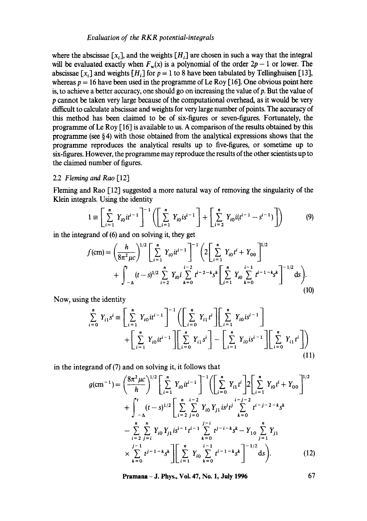#### *Evaluation of the RKR potential-integrals*

where the abscissae  $[x_i]$ , and the weights  $[H_i]$  are chosen in such a way that the integral will be evaluated exactly when  $F_w(x)$  is a polynomial of the order  $2p - 1$  or lower. The abscissae [x<sub>i</sub>] and weights [H<sub>i</sub>] for  $p = 1$  to 8 have been tabulated by Tellinghuisen [13], whereas  $p = 16$  have been used in the programme of Le Roy [16]. One obvious point here is, to achieve a better accuracy, one should go on increasing the value of p. But the value of p cannot be taken very large because of the computational overhead, as it would be very difficult to calculate abscissae and weights for very large number of points. The accuracy of this method has been claimed to be of six-figures or seven-figures. Fortunately, the programme of Le Roy [ 16] is available to us. A comparison of the results obtained by this programme (see § 4) with those obtained from the analytical expressions shows that the programme reproduces the analytical results up to five-figures, or sometime up to six-figures. However, the programme may reproduce the results of the other scientists up to the claimed number of figures.

#### 2.2 *Flernino and Rao* [12]

Fleming and Rao [12] suggested a more natural way of removing the singularity of the Klein integrals. Using the identity

$$
1 \equiv \left[ \sum_{i=1}^{n} Y_{i0} i t^{i-1} \right]^{-1} \left( \left[ \sum_{i=1}^{n} Y_{i0} i s^{i-1} \right] + \left[ \sum_{i=2}^{n} Y_{i0} i (t^{i-1} - s^{i-1}) \right] \right) \tag{9}
$$

in the integrand of (6) and on solving it, they get

$$
f(\text{cm}) = \left(\frac{h}{8\pi^2 \mu c}\right)^{1/2} \left[\sum_{i=1}^n Y_{i0}it^{i-1}\right]^{-1} \left(2\left[\sum_{i=1}^n Y_{i0}t^i + Y_{00}\right]^{1/2} + \int_{-\Delta}^t (t-s)^{1/2} \sum_{i=2}^n Y_{i0}i \sum_{k=0}^{i-2} t^{i-2-k} s^k \left[\sum_{i=1}^n Y_{i0} \sum_{k=0}^{i-1} t^{i-1-k} s^k\right]^{-1/2} ds\right).
$$
\n(10)

Now, using the identity

$$
\sum_{i=0}^{n} Y_{i1} s^{i} \equiv \left[ \sum_{i=1}^{n} Y_{i0} t^{i-1} \right]^{-1} \left( \left[ \sum_{i=0}^{n} Y_{i1} t^{i} \right] \left[ \sum_{i=1}^{n} Y_{i0} t^{i-1} \right] + \left[ \sum_{i=1}^{n} Y_{i0} t^{i-1} \right] \left[ \sum_{i=0}^{n} Y_{i1} s^{i} \right] - \left[ \sum_{i=1}^{n} Y_{i0} t^{i-1} \right] \left[ \sum_{i=0}^{n} Y_{i1} t^{i} \right] \right)
$$
\n(11)

in the integrand of (7) and on solving it, it follows that

$$
g(\text{cm}^{-1}) = \left(\frac{8\pi^2 \mu c}{h}\right)^{1/2} \left[\sum_{i=1}^{n} Y_{i0} i t^{i-1}\right]^{-1} \left(\left[\sum_{i=0}^{n} Y_{i1} t^{i}\right] 2 \left[\sum_{i=1}^{n} Y_{i0} t^{i} + Y_{00}\right]^{1/2} + \int_{-\Delta}^{t} (t-s)^{1/2} \left[\sum_{i=2}^{n} \sum_{j=0}^{i-2} Y_{i0} Y_{j1} i s^{j} t^{j}\sum_{k=0}^{i-j-2} t^{i-j-2-k} s^{k}\right] - \sum_{i=2}^{n} \sum_{j=i}^{n} Y_{i0} Y_{j1} i s^{i-1} t^{i-1} \sum_{k=0}^{j-i} t^{j-i-k} s^{k} - Y_{10} \sum_{j=1}^{n} Y_{j1} + \sum_{k=0}^{j-1} t^{j-1-k} s^{k} \right] \left[\sum_{i=1}^{n} Y_{i0} \sum_{k=0}^{i-1} t^{i-1-k} s^{k}\right]^{-1/2} ds.
$$
 (12)

**Pramana - J. Phys., Vol. 47, No. 1, July 1996 67**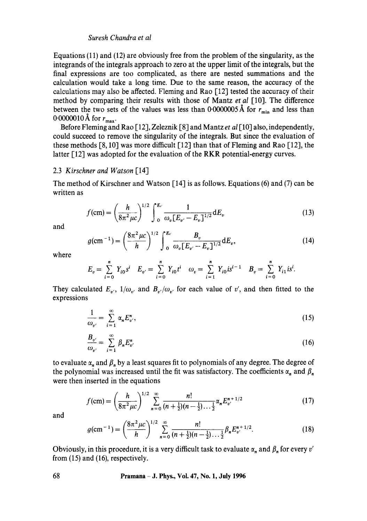## *Suresh Chandra et al*

Equations  $(11)$  and  $(12)$  are obviously free from the problem of the singularity, as the integrands of the integrals approach to zero at the upper limit of the integrals, but the final expressions are too complicated, as there are nested summations and the calculation would take a long time. Due to the same reason, the accuracy of the calculations may also be affected. Fleming and Rao [12] tested the accuracy of their method by comparing their results with those of Mantz *et al* [10]. The difference between the two sets of the values was less than 0.0000005 Å for  $r_{\min}$  and less than 0.0000010 Å for  $r_{\text{max}}$ .

Before Fleming and Rao [12], Zeleznik [8] and Mantz *et al* [10] also, independently, could succeed to remove the singularity of the integrals. But since the evaluation of these methods [8, 10] was more difficult [12] than that of Fleming and Rao [12], the latter [12] was adopted for the evaluation of the RKR potential-energy curves.

#### 2.3 *Kirschner and Watson* [14]

The method of Kirschner and Watson [14] is as follows. Equations (6) and (7) can be written as

$$
f(\text{cm}) = \left(\frac{h}{8\pi^2 \mu c}\right)^{1/2} \int_0^{E_v} \frac{1}{\omega_v [E_{v'} - E_v]^{1/2}} dE_v
$$
 (13)

and

$$
g(\text{cm}^{-1}) = \left(\frac{8\pi^2\mu c}{h}\right)^{1/2} \int_0^{E_v} \frac{B_v}{\omega_v [E_{v'} - E_v]^{1/2}} dE_v, \tag{14}
$$

where

$$
E_v = \sum_{i=0}^n Y_{i0} s^i \quad E_{v'} = \sum_{i=0}^n Y_{i0} t^i \quad \omega_v = \sum_{i=1}^n Y_{i0} i s^{i-1} \quad B_v = \sum_{i=0}^n Y_{i1} i s^i.
$$

They calculated  $E_{v}$ ,  $1/\omega_{v}$  and  $B_{v'}/\omega_{v'}$  for each value of v', and then fitted to the expressions

$$
\frac{1}{\omega_{v'}} = \sum_{i=1}^{\infty} \alpha_n E_{v'}^n,
$$
\n(15)

$$
\frac{B_{v'}}{\omega_{v'}} = \sum_{i=1}^{\infty} \beta_n E_{v'}^n \tag{16}
$$

to evaluate  $\alpha_n$  and  $\beta_n$  by a least squares fit to polynomials of any degree. The degree of the polynomial was increased until the fit was satisfactory. The coefficients  $\alpha_n$  and  $\beta_n$ were then inserted in the equations

$$
f(\text{cm}) = \left(\frac{h}{8\pi^2\mu c}\right)^{1/2} \sum_{n=0}^{\infty} \frac{n!}{(n+\frac{1}{2})(n-\frac{1}{2})\dots\frac{1}{2}} \alpha_n E_{\nu}^{n+1/2}
$$
(17)

and

$$
g(\text{cm}^{-1}) = \left(\frac{8\pi^2\mu c}{h}\right)^{1/2} \sum_{n=0}^{\infty} \frac{n!}{(n+\frac{1}{2})(n-\frac{1}{2})\cdots\frac{1}{2}} \beta_n E_{\nu'}^{n+1/2}.
$$
 (18)

Obviously, in this procedure, it is a very difficult task to evaluate  $\alpha_n$  and  $\beta_n$  for every v' from (15) and (16), respectively.

**68 Pramana -- J. Phys., Vol. 47, No. 1, July 1996**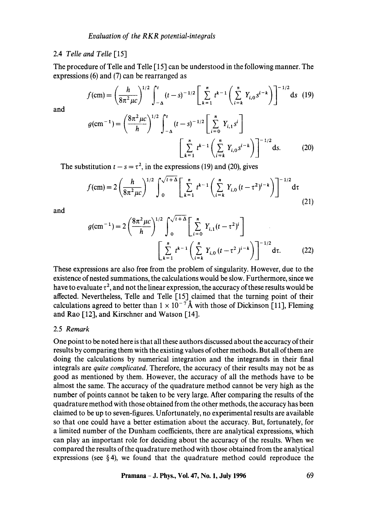## 2.4 *Telle and Telle* [15]

The procedure of Telle and Telle [15] can be understood in the following manner. The expressions (6) and (7) can be rearranged as

$$
f(\text{cm}) = \left(\frac{h}{8\pi^2\,\mu\text{c}}\right)^{1/2} \int_{-\Delta}^{t} (t-s)^{-1/2} \left[\sum_{k=1}^{n} t^{k-1} \left(\sum_{i=k}^{n} Y_{i,0} s^{i-k}\right)\right]^{-1/2} \text{d}s \tag{19}
$$

and

$$
g(\text{cm}^{-1}) = \left(\frac{8\pi^2\mu c}{h}\right)^{1/2} \int_{-\Delta}^{t} (t-s)^{-1/2} \left[\sum_{i=0}^{n} Y_{i,1} s^i\right]
$$

$$
\left[\sum_{k=1}^{n} t^{k-1} \left(\sum_{i=k}^{n} Y_{i,0} s^{i-k}\right)\right]^{-1/2} \text{d}s. \tag{20}
$$

The substitution  $t - s = \tau^2$ , in the expressions (19) and (20), gives

$$
f(\text{cm}) = 2 \left( \frac{h}{8\pi^2 \mu c} \right)^{1/2} \int_0^{\sqrt{t+\Delta}} \left[ \sum_{k=1}^n t^{k-1} \left( \sum_{i=k}^n Y_{i,0} \left( t - \tau^2 \right)^{i-k} \right) \right]^{-1/2} \text{d}\tau \tag{21}
$$

and

$$
g(\text{cm}^{-1}) = 2 \left( \frac{8\pi^2 \mu c}{h} \right)^{1/2} \int_0^{\sqrt{t+\Delta}} \left[ \sum_{i=0}^n Y_{i,1} (t - \tau^2)^i \right]
$$

$$
\left[ \sum_{k=1}^n t^{k-1} \left( \sum_{i=k}^n Y_{i,0} (t - \tau^2)^{i-k} \right) \right]^{-1/2} \text{d}\tau. \tag{22}
$$

These expressions are also free from the problem of singularity. However, due to the existence of nested summations, the calculations would be slow. Furthermore, since we have to evaluate  $\tau^2$ , and not the linear expression, the accuracy of these results would be affected. Nevertheless, Telle and Telle [15] claimed that the turning point of their calculations agreed to better than  $1 \times 10^{-7}$  Å with those of Dickinson [11], Fleming and Rao [12], and Kirschner and Watson [14].

#### 2.5 *Remark*

One point to be noted here is that all these authors discussed about the accuracy of their results by comparing them with the existing values of other methods. But all of them are doing the calculations by numerical integration and the integrands in their final integrals are *quite complicated.* Therefore, the accuracy of their results may not be as good as mentioned by them. However, the accuracy of all the methods have to be almost the same. The accuracy of the quadrature method cannot be very high as the number of points cannot be taken to be very large. After comparing the results of the quadrature method with those obtained from the other methods, the accuracy has been claimed to be up to seven-figures. Unfortunately, no experimental results are available so that one could have a better estimation about the accuracy. But, fortunately, for a limited number of the Dunham coefficients, there are analytical expressions, which can play an important role for deciding about the accuracy of the results. When we compared the results of the quadrature method with those obtained from the analytical expressions (see §4), we found that the quadrature method could reproduce the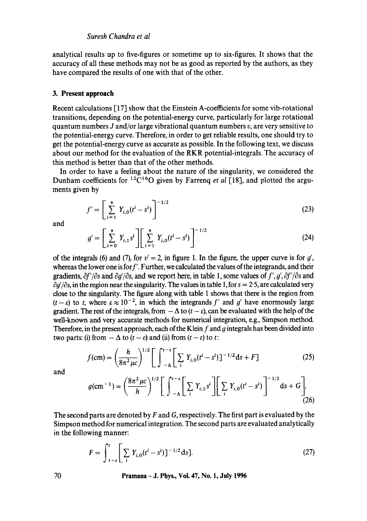analytical results up to five-figures or sometime up to six-figures. It shows that the accuracy of all these methods may not be as good as reported by the authors, as they have compared the results of one with that of the other.

#### **3. Present approach**

Recent calculations [17] show that the Einstein A-coefficients for some vib-rotational transitions, depending on the potential-energy curve, particularly for large rotational quantum numbers J and/or large vibrational quantum numbers  $v$ , are very sensitive to the potential-energy curve. Therefore, in order to get reliable results, one should try to get the potential-energy curve as accurate as possible. In the following text, we discuss about our method for the evaluation of the RKR potential-integrals. The accuracy of this method is better than that of the other methods.

In order to have a feeling about the nature of the singularity, we considered the Dunham coefficients for <sup>12</sup>C<sup>16</sup>O given by Farreng *et al* [18], and plotted the arguments given by

$$
f' = \left[ \sum_{i=1}^{n} Y_{i,0} (t^i - s^i) \right]^{-1/2}
$$
 (23)

and

$$
g' = \left[ \sum_{i=0}^{n} Y_{i,1} s^i \right] \left[ \sum_{i=1}^{n} Y_{i,0} (t^i - s^i) \right]^{-1/2}
$$
 (24)

of the integrals (6) and (7), for  $v' = 2$ , in figure 1. In the figure, the upper curve is for  $g'$ , whereas the lower one is for  $f'$ . Further, we calculated the values of the integrands, and their gradients,  $\partial f'/\partial s$  and  $\partial g'/\partial s$ , and we report here, in table 1, some values of  $f', g', \partial f'/\partial s$  and  $\partial g' / \partial s$ , in the region near the singularity. The values in table 1, for  $s = 2.5$ , are calculated very close to the singularity. The figure along with table 1 shows that there is the region from  $(t-\varepsilon)$  to t, where  $\varepsilon \approx 10^{-2}$ , in which the integrands f' and g' have enormously large gradient. The rest of the integrals, from  $-\Delta$  to  $(t - \varepsilon)$ , can be evaluated with the help of the well-known and very accurate methods for numerical integration, e.g., Simpson method. Therefore, in the present approach, each of the Klein  $f$  and  $g$  integrals has been divided into two parts: (i) from  $-\Delta$  to  $(t - \varepsilon)$  and (ii) from  $(t - \varepsilon)$  to t:

$$
f(\text{cm}) = \left(\frac{h}{8\pi^2 \mu c}\right)^{1/2} \left[ \int_{-\Delta}^{t-\epsilon} \left[ \sum_{i} Y_{i,0} (t^i - s^i) \right]^{-1/2} \text{d}s + F \right] \tag{25}
$$

and

$$
g(\text{cm}^{-1}) = \left(\frac{8\pi^2 \mu c}{h}\right)^{1/2} \left[ \int_{-\Delta}^{t-\epsilon} \left[ \sum_{i} Y_{i,1} s^i \right] \left[ \sum_{i} Y_{i,0} (t^i - s^i) \right]^{-1/2} \text{d}s + G \right].
$$
 (26)

The second parts are denoted by  $F$  and  $G$ , respectively. The first part is evaluated by the Simpson method for numerical integration. The second parts are evaluated analytically in the following manner:

$$
F = \int_{t-\epsilon}^{t} \left[ \sum_{i} Y_{i,0} (t^{i} - s^{i}) \right]^{-1/2} \, \mathrm{d}s \, \, . \tag{27}
$$

**70 Pramana - J. Phys., Voi. 47, No. 1, July 1996**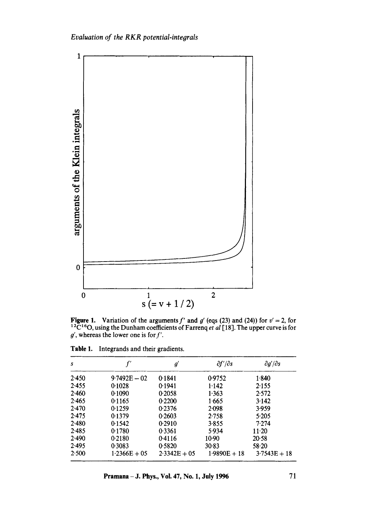

**Figure 1.** Variation of the arguments f' and g' (eqs (23) and (24)) for  $v' = 2$ , for <sup>12</sup>C<sup>16</sup>O, using the Dunham coefficients of Farrenq *et al* [18]. The upper curve is for  $g'$ , whereas the lower one is for  $f'$ .

| s     |                | $g^{\prime}$   | $\partial f'/\partial s$ | $\partial g'/\partial s$ |
|-------|----------------|----------------|--------------------------|--------------------------|
| 2.450 | $9.7492E - 02$ | 0.1841         | 0.9752                   | 1.840                    |
| 2.455 | 0.1028         | 0.1941         | 1.142                    | 2.155                    |
| 2.460 | 0.1090         | 0.2058         | 1.363                    | 2.572                    |
| 2.465 | 0.1165         | 0.2200         | 1.665                    | 3.142                    |
| 2.470 | 0.1259         | 0.2376         | 2.098                    | 3.959                    |
| 2.475 | 0.1379         | 0.2603         | 2.758                    | 5.205                    |
| 2.480 | 0.1542         | 0.2910         | 3.855                    | 7.274                    |
| 2.485 | 0.1780         | 0.3361         | 5.934                    | $11-20$                  |
| 2.490 | 0.2180         | 0.4116         | 10.90                    | 20.58                    |
| 2.495 | 0.3083         | 0.5820         | 30.83                    | $58 - 20$                |
| 2.500 | $1.2366E + 05$ | $2.3342E + 05$ | $1.9890E + 18$           | $3.7543E + 18$           |

Table 1. Integrands and their gradients.

**Pramana** – **J. Phys., Vol. 47, No. 1, July 1996** 71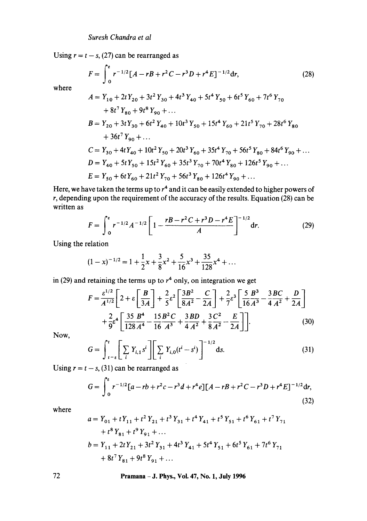Using  $r = t - s$ , (27) can be rearranged as

$$
F = \int_0^{\epsilon} r^{-1/2} [A - rB + r^2 C - r^3 D + r^4 E]^{-1/2} dr,
$$
 (28)

where

$$
A = Y_{10} + 2tY_{20} + 3t^2Y_{30} + 4t^3Y_{40} + 5t^4Y_{50} + 6t^5Y_{60} + 7t^6Y_{70}
$$
  
+ 8t<sup>7</sup>Y<sub>80</sub> + 9t<sup>8</sup>Y<sub>90</sub> + ...  

$$
B = Y_{20} + 3tY_{30} + 6t^2Y_{40} + 10t^3Y_{50} + 15t^4Y_{60} + 21t^5Y_{70} + 28t^6Y_{80}
$$
  
+ 36t<sup>7</sup>Y<sub>90</sub> + ...  

$$
C = Y_{30} + 4tY_{40} + 10t^2Y_{50} + 20t^3Y_{60} + 35t^4Y_{70} + 56t^5Y_{80} + 84t^6Y_{90} + ...
$$
  

$$
D = Y_{40} + 5tY_{50} + 15t^2Y_{60} + 35t^3Y_{70} + 70t^4Y_{80} + 126t^5Y_{90} + ...
$$
  

$$
E = Y_{50} + 6tY_{60} + 21t^2Y_{70} + 56t^3Y_{80} + 126t^4Y_{90} + ...
$$

Here, we have taken the terms up to  $r<sup>4</sup>$  and it can be easily extended to higher powers of  $r$ , depending upon the requirement of the accuracy of the results. Equation (28) can be written as

$$
F = \int_0^{\epsilon} r^{-1/2} A^{-1/2} \left[ 1 - \frac{rB - r^2 C + r^3 D - r^4 E}{A} \right]^{-1/2} dr. \tag{29}
$$

Using the relation

$$
(1-x)^{-1/2} = 1 + \frac{1}{2}x + \frac{3}{8}x^2 + \frac{5}{16}x^3 + \frac{35}{128}x^4 + \dots
$$

in (29) and retaining the terms up to  $r<sup>4</sup>$  only, on integration we get

$$
F = \frac{\varepsilon^{1/2}}{A^{1/2}} \left[ 2 + \varepsilon \left[ \frac{B}{3A} \right] + \frac{2}{5} \varepsilon^2 \left[ \frac{3B^2}{8A^2} - \frac{C}{2A} \right] + \frac{2}{7} \varepsilon^3 \left[ \frac{5}{16} \frac{B^3}{A^3} - \frac{3BC}{4A^2} + \frac{D}{2A} \right] + \frac{2}{9} \varepsilon^4 \left[ \frac{35}{128} \frac{B^4}{A^4} - \frac{15B^2C}{16A^3} + \frac{3BD}{4A^2} + \frac{3C^2}{8A^2} - \frac{E}{2A} \right] \right]
$$
(30)

Now,

$$
G = \int_{t-\epsilon}^{t} \left[ \sum_{i} Y_{i,1} s^{i} \right] \left[ \sum_{i} Y_{i,0} (t^{i} - s^{i}) \right]^{-1/2} ds.
$$
 (31)

Using  $r = t - s$ , (31) can be rearranged as

$$
G = \int_0^t r^{-1/2} [a - rb + r^2 c - r^3 d + r^4 e] [A - rB + r^2 C - r^3 D + r^4 E]^{-1/2} dr,
$$
\n(32)

where

$$
a = Y_{01} + tY_{11} + t^2Y_{21} + t^3Y_{31} + t^4Y_{41} + t^5Y_{51} + t^6Y_{61} + t^7Y_{71}
$$
  
+  $t^8Y_{81} + t^9Y_{91} + ...$   

$$
b = Y_{11} + 2tY_{21} + 3t^2Y_{31} + 4t^3Y_{41} + 5t^4Y_{51} + 6t^5Y_{61} + 7t^6Y_{71}
$$
  
+  $8t^7Y_{81} + 9t^8Y_{91} + ...$ 

**72 Pramana - J. Phys., Vol. 47, No. 1, July 1996**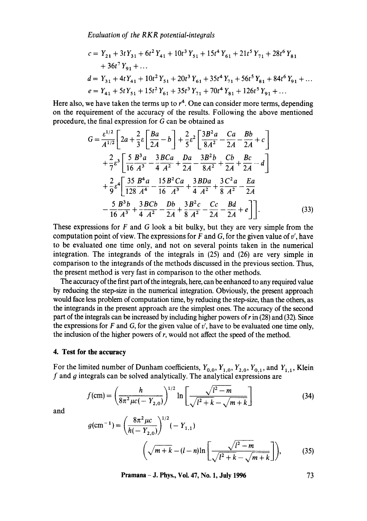*Evaluation of the RKR potential-integrals* 

$$
c = Y_{21} + 3tY_{31} + 6t^2Y_{41} + 10t^3Y_{51} + 15t^4Y_{61} + 21t^5Y_{71} + 28t^6Y_{81}
$$
  
+ 36t<sup>7</sup>Y<sub>91</sub> + ...  

$$
d = Y_{31} + 4tY_{41} + 10t^2Y_{51} + 20t^3Y_{61} + 35t^4Y_{71} + 56t^5Y_{81} + 84t^6Y_{91} + ...
$$

$$
e = Y_{41} + 5tY_{51} + 15t^2Y_{61} + 35t^3Y_{71} + 70t^4Y_{81} + 126t^5Y_{91} + ...
$$

Here also, we have taken the terms up to  $r<sup>4</sup>$ . One can consider more terms, depending on the requirement of the accuracy of the results. Following the above mentioned procedure, the final expression for G can be obtained as

$$
G = \frac{\varepsilon^{1/2}}{A^{1/2}} \left[ 2a + \frac{2}{3}\varepsilon \left[ \frac{Ba}{2A} - b \right] + \frac{2}{5}\varepsilon^2 \left[ \frac{3B^2a}{8A^2} - \frac{Ca}{2A} - \frac{Bb}{2A} + c \right] + \frac{2}{7}\varepsilon^3 \left[ \frac{5}{16} \frac{B^3a}{A^3} - \frac{3BCa}{4A^2} + \frac{Da}{2A} - \frac{3B^2b}{8A^2} + \frac{Cb}{2A} + \frac{BC}{2A} - d \right] + \frac{2}{9}\varepsilon^4 \left[ \frac{35}{128} \frac{B^4a}{A^4} - \frac{15B^2Ca}{16A^3} + \frac{3BDa}{4A^2} + \frac{3C^2a}{8A^2} - \frac{Ea}{2A} - \frac{5B^3b}{16A^3} + \frac{3BCb}{4A^2} - \frac{Db}{2A} + \frac{3B^2c}{8A^2} - \frac{Cc}{2A} - \frac{Bd}{2A} + e \right] \bigg].
$$
\n(33)

These expressions for  $F$  and  $G$  look a bit bulky, but they are very simple from the computation point of view. The expressions for  $F$  and  $G$ , for the given value of  $v'$ , have to be evaluated one time only, and not on several points taken in the numerical integration. The integrands of the integrals in (25) and (26) are very simple in comparison to the integrands of the methods discussed in the previous section. Thus, the present method is very fast in comparison to the other methods.

The accuracy of the first part of the integrals, here, can be enhanced to any required value by reducing the step-size in the numerical integration. Obviously, the present approach would face less problem of computation time, by reducing the step-size, than the others, as the integrands in the present approach are the simplest ones. The accuracy of the second part of the integrals can be increased by including higher powers of r in (28) and (32). Since the expressions for F and G, for the given value of  $v'$ , have to be evaluated one time only, the inclusion of the higher powers of  $r$ , would not affect the speed of the method.

#### **4. Test for the accuracy**

For the limited number of Dunham coefficients,  $Y_{0,0}$ ,  $Y_{1,0}$ ,  $Y_{2,0}$ ,  $Y_{0,1}$ , and  $Y_{1,1}$ , Klein  $f$  and  $g$  integrals can be solved analytically. The analytical expressions are

$$
f(\text{cm}) = \left(\frac{h}{8\pi^2 \mu c(-Y_{2,0})}\right)^{1/2} \ln\left[\frac{\sqrt{l^2 - m}}{\sqrt{l^2 + k} - \sqrt{m + k}}\right]
$$
(34)

and

$$
g(\text{cm}^{-1}) = \left(\frac{8\pi^2 \mu c}{h(-Y_{2,0})}\right)^{1/2} (-Y_{1,1})
$$

$$
\left(\sqrt{m+k} - (l-n)\ln\left[\frac{\sqrt{l^2 - m}}{\sqrt{l^2 + k} - \sqrt{m+k}}\right]\right),\tag{35}
$$

**Pramana - J. Phys., Vol. 47, No. 1, July 1996 73**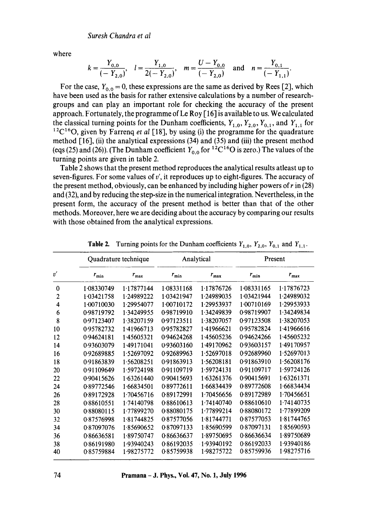where

$$
k = \frac{Y_{0,0}}{(-Y_{2,0})}
$$
,  $l = \frac{Y_{1,0}}{2(-Y_{2,0})}$ ,  $m = \frac{U - Y_{0,0}}{(-Y_{2,0})}$  and  $n = \frac{Y_{0,1}}{(-Y_{1,1})}$ .

For the case,  $Y_{0,0} = 0$ , these expressions are the same as derived by Rees [2], which have been used as the basis for rather extensive calculations by a number of researchgroups and can play an important role for checking the accuracy of the present approach. Fortunately, the programme of Le Roy [ 16] is available to us. We calculated the classical turning points for the Dunham coefficients,  $Y_{1,0}$ ,  $Y_{2,0}$ ,  $Y_{0,1}$ , and  $Y_{1,1}$  for  $12C^{16}$ O, given by Farrenq *et al* [18], by using (i) the programme for the quadrature method [16], (ii) the analytical expressions (34) and (35) and (iii) the present method (eqs (25) and (26)). (The Dunham coefficient  $Y_{0,0}$  for <sup>12</sup>C<sup>16</sup>O is zero.) The values of the turning points are given in table 2.

Table 2 shows that the present method reproduces the analytical results atleast up to seven-figures. For some values of  $v'$ , it reproduces up to eight-figures. The accuracy of the present method, obviously, can be enhanced by including higher powers of r in (28) and (32), and by reducing the step-size in the numerical integration. Nevertheless, in the present form, the accuracy of the present method is better than that of the other methods. Moreover, here we are deciding about the accuracy by comparing our results with those obtained from the analytical expressions.

|                | Quadrature technique |               | Analytical |               | Present    |               |
|----------------|----------------------|---------------|------------|---------------|------------|---------------|
| $v^{\prime}$   | $r_{\min}$           | $r_{\rm max}$ | $r_{\min}$ | $r_{\rm max}$ | $r_{\min}$ | $r_{\rm max}$ |
| 0              | 1.08330749           | 1.17877144    | 1.08331168 | 1.17876726    | 1.08331165 | 1.17876723    |
| $\overline{2}$ | 1.03421758           | 1.24989222    | 1.03421947 | 1.24989035    | 1.03421944 | 1.24989032    |
| 4              | 1.00710030           | 1.29954077    | 1.00710172 | 1.29953937    | 1.00710169 | 1.29953933    |
| 6              | 0.98719792           | 1.34249955    | 0.98719910 | 1.34249839    | 0.98719907 | 1.34249834    |
| 8              | 0.97123407           | 1.38207159    | 0.97123511 | 1.38207057    | 0.97123508 | 1.38207053    |
| 10             | 0.95782732           | 1.41966713    | 0.95782827 | 1.41966621    | 0.95782824 | 1.41966616    |
| 12             | 0.94624181           | 1.45605321    | 0.94624268 | 1.45605236    | 0.94624266 | 1.45605232    |
| 14             | 0.93603079           | 1.49171041    | 0.93603160 | 1.49170962    | 0.93603157 | 1.49170957    |
| 16             | 0.92689885           | 1.52697092    | 0.92689963 | 1.52697018    | 0.92689960 | 1.52697013    |
| 18             | 0.91863839           | 1.56208251    | 0.91863913 | 1.56208181    | 0.91863910 | 1.56208176    |
| 20             | 0.91109649           | 1.59724198    | 0.91109719 | 1.59724131    | 0.91109717 | 1.59724126    |
| 22             | 0.90415626           | 1.63261440    | 0.90415693 | 1.63261376    | 0.90415691 | 1.63261371    |
| 24             | 0.89772546           | 1.66834501    | 0.89772611 | 1.66834439    | 0.89772608 | 1.66834434    |
| 26             | 0.89172928           | 1.70456716    | 0.89172991 | 1.70456656    | 0.89172989 | 1.70456651    |
| 28             | 0.88610551           | 1.74140798    | 0.88610613 | 1.74140740    | 0.88610610 | 1.74140735    |
| 30             | 0.88080115           | 1.77899270    | 0.88080175 | 1.77899214    | 0.88080172 | 1.77899209    |
| 32             | 0.87576998           | 1.81744825    | 0.87577056 | 1.81744771    | 0.87577053 | 1.81744765    |
| 34             | 0.87097076           | 185690652     | 0.87097133 | 1.85690599    | 0.87097131 | 1.85690593    |
| 36             | 0.86636581           | 1.89750747    | 0.86636637 | 1.89750695    | 0.86636634 | 1.89750689    |
| 38             | 0.86191980           | 1.93940243    | 0.86192035 | $-1.93940192$ | 0.86192033 | 1.93940186    |
| 40             | 0.85759884           | 1.98275772    | 085759938  | 1.98275722    | 0.85759936 | 1.98275716    |

**Table 2.** Turning points for the Dunham coefficients  $Y_{1,0}$ ,  $Y_{2,0}$ ,  $Y_{0,1}$  and  $Y_{1,1}$ .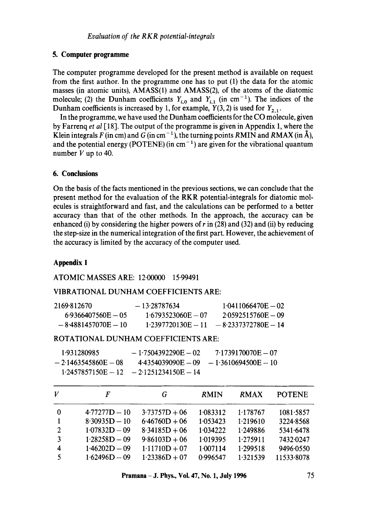# **5. Computer programme**

The computer programme developed for the present method is available on request from the first author. In the programme one has to put (1) the data for the atomic masses (in atomic units), AMASS(1) and AMASS(2), of the atoms of the diatomic molecule; (2) the Dunham coefficients  $Y_{i,0}$  and  $Y_{i,1}$  (in cm<sup>-1</sup>). The indices of the Dunham coefficients is increased by 1, for example,  $Y(3, 2)$  is used for  $Y_{2,1}$ .

In the programme, we have used the Dunham coefficients for the CO molecule, given by Farrenq *et al* [18]. The output of the programme is given in Appendix 1, where the Klein integrals F (in cm) and G (in cm<sup>-1</sup>), the turning points RMIN and RMAX (in  $\hat{A}$ ), and the potential energy (POTENE) (in  $cm^{-1}$ ) are given for the vibrational quantum number  $V$  up to 40.

## **6. Conclusions**

On the basis of the facts mentioned in the previous sections, we can conclude that the present method for the evaluation of the RKR potential-integrals for diatomic molecules is straightforward and fast, and the calculations can be performed to a better accuracy than that of the other methods. In the approach, the accuracy can be enhanced (i) by considering the higher powers of  $r$  in (28) and (32) and (ii) by reducing the step-size in the numerical integration of the first part. However, the achievement of the accuracy is limited by the accuracy of the computer used.

# **Appendix 1**

## ATOMIC MASSES ARE: 12.00000 15-99491

## VIBRATIONAL DUNHAM COEFFICIENTS ARE:

| 2169.812670           | $-13.28787634$       | $1.0411066470E - 02$  |
|-----------------------|----------------------|-----------------------|
| $6.9366407560E - 05$  | $1.6793523060E - 07$ | $2.0592515760E - 09$  |
| $-8.4881457070E - 10$ | $1.2397720130E - 11$ | $-8.2337372780E - 14$ |

# ROTATIONAL DUNHAM COEFFICIENTS ARE:

| 1.931280985           | $-1.7504392290E - 02$                     | 7.1739170070E - 07                        |
|-----------------------|-------------------------------------------|-------------------------------------------|
| $-2.1463545860F - 08$ |                                           | $4.4354039090E - 09 - 1.3610694500E - 10$ |
|                       | $1.2457857150E - 12 - 2.1251234150E - 14$ |                                           |

| V              | F               | G               | <b>RMIN</b> | RMAX     | <b>POTENE</b> |
|----------------|-----------------|-----------------|-------------|----------|---------------|
| 0              | $4.77277D - 10$ | $3.73757D + 06$ | 1.083312    | 1.178767 | 1081.5857     |
|                | $8.30935D - 10$ | $6.46760D + 06$ | 1.053423    | 1.219610 | 3224.8568     |
| $\overline{2}$ | $1.07832D - 09$ | $8.34185D + 06$ | 1.034222    | 1.249886 | 5341.6478     |
| 3              | $1.28258D - 09$ | $9.86103D + 06$ | 1.019395    | 1.275911 | 7432-0247     |
| 4              | $1.46202D - 09$ | $1.11710D + 07$ | 1.007114    | 1.299518 | 9496.0550     |
| 5              | $1.62496D - 09$ | $1.23386D + 07$ | 0.996547    | 1.321539 | 11533-8078    |

**Pramana – J. Phys., Vol. 47, No. 1, July 1996** 75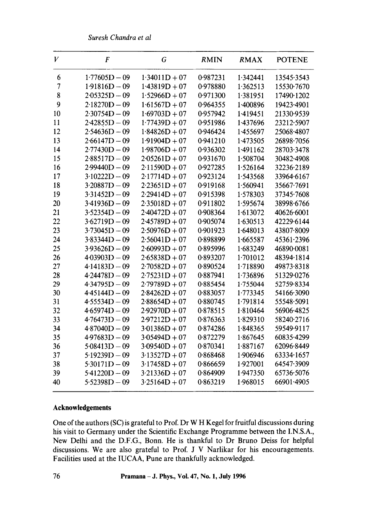*Suresh Chandra et al* 

| $\boldsymbol{V}$ | F               | G               | <b>RMIN</b> | <b>RMAX</b> | <b>POTENE</b> |
|------------------|-----------------|-----------------|-------------|-------------|---------------|
| 6                | $1.77605D - 09$ | $1.34011D + 07$ | 0.987231    | 1.342441    | 13545.3543    |
| $\overline{7}$   | $1.91816D - 09$ | $1.43819D + 07$ | 0.978880    | 1.362513    | 15530-7670    |
| 8                | $2.05325D - 09$ | $1.52966D + 07$ | 0.971300    | 1.381951    | 17490-1202    |
| 9                | $2.18270D - 09$ | $1.61567D + 07$ | 0.964355    | 1.400896    | 19423.4901    |
| 10               | $2.30754D - 09$ | $1.69703D + 07$ | 0.957942    | 1.419451    | 21330-9539    |
| 11               | $2.42855D - 09$ | $1.77439D + 07$ | 0.951986    | 1.437696    | 23212.5907    |
| 12               | $2.54636D - 09$ | $1.84826D + 07$ | 0.946424    | 1.455697    | 25068.4807    |
| 13               | $2.66147D - 09$ | $1.91904D + 07$ | 0.941210    | 1.473505    | 26898-7056    |
| 14               | $2.77430D - 09$ | $1.98706D + 07$ | 0.936302    | 1.491162    | 28703-3478    |
| 15               | $2.88517D - 09$ | $2.05261D + 07$ | 0.931670    | 1.508704    | 30482-4908    |
| 16               | $2.99440D - 09$ | $2.11590D + 07$ | 0.927285    | 1.526164    | 32236.2189    |
| 17               | $3.10222D - 09$ | $2.17714D + 07$ | 0.923124    | 1.543568    | 33964.6167    |
| 18               | $3.20887D - 09$ | $2.23651D + 07$ | 0.919168    | 1.560941    | 35667.7691    |
| 19               | $3.31452D - 09$ | $2.29414D + 07$ | 0.915398    | 1.578303    | 37345.7608    |
| 20               | $3.41936D - 09$ | $2.35018D + 07$ | 0.911802    | 1.595674    | 38998.6766    |
| 21               | $3.52354D - 09$ | $2.40472D + 07$ | 0.908364    | 1.613072    | 40626.6001    |
| 22               | $3.62719D - 09$ | $2.45789D + 07$ | 0.905074    | 1.630513    | 42229.6144    |
| 23               | $3.73045D - 09$ | $2.50976D + 07$ | 0.901923    | 1.648013    | 43807.8009    |
| 24               | $3.83344D - 09$ | $2.56041D + 07$ | 0.898899    | 1.665587    | 45361-2396    |
| 25               | $3.93626D - 09$ | $2.60993D + 07$ | 0.895996    | 1.683249    | 46890.0081    |
| 26               | $4.03903D - 09$ | $2.65838D + 07$ | 0.893207    | 1.701012    | 48394-1814    |
| 27               | $4.14183D - 09$ | $2.70582D + 07$ | 0.890524    | 1.718890    | 49873.8318    |
| 28               | $4.24478D - 09$ | $2.75231D + 07$ | 0.887941    | 1.736896    | 51329.0276    |
| 29               | $4.34795D - 09$ | $2.79789D + 07$ | 0.885454    | 1.755044    | 52759.8334    |
| 30               | $4.45144D - 09$ | $2.84262D + 07$ | 0.883057    | 1.773345    | 54166.3090    |
| 31               | $4.55534D - 09$ | $2.88654D + 07$ | 0.880745    | 1.791814    | 55548.5091    |
| 32               | $4.65974D - 09$ | $2.92970D + 07$ | 0.878515    | 1.810464    | 56906.4825    |
| 33               | $4.76473D - 09$ | $2.97212D + 07$ | 0.876363    | 1.829310    | 58240-2716    |
| 34               | $4.87040D - 09$ | $3.01386D + 07$ | 0.874286    | 1.848365    | 59549.9117    |
| 35               | $4.97683D - 09$ | $3.05494D + 07$ | 0.872279    | 1.867645    | 60835.4299    |
| 36               | $5.08413D - 09$ | $3.09540D + 07$ | 0.870341    | 1.887167    | 62096.8449    |
| 37               | $5.19239D - 09$ | $3.13527D + 07$ | 0.868468    | 1.906946    | 63334.1657    |
| 38               | $5.30171D - 09$ | $3.17458D + 07$ | 0.866659    | 1.927001    | 64547.3909    |
| 39               | $5.41220D - 09$ | $3.21336D + 07$ | 0.864909    | 1.947350    | 65736.5076    |
| 40               | $5.52398D - 09$ | $3.25164D + 07$ | 0.863219    | 1.968015    | 66901.4905    |
|                  |                 |                 |             |             |               |

# **Acknowledgements**

One of the authors (SC) is grateful to Prof. Dr W H Kegel for fruitful discussions during his visit to Germany under the Scientific Exchange Programme between the I.N.S.A., New Delhi and the D.F.G., Bonn. He is thankful to Dr Bruno Deiss for helpful discussions. We are also grateful to Prof. J V Narlikar for his encouragements. Facilities used at the IUCAA, Pune are thankfully acknowledged.